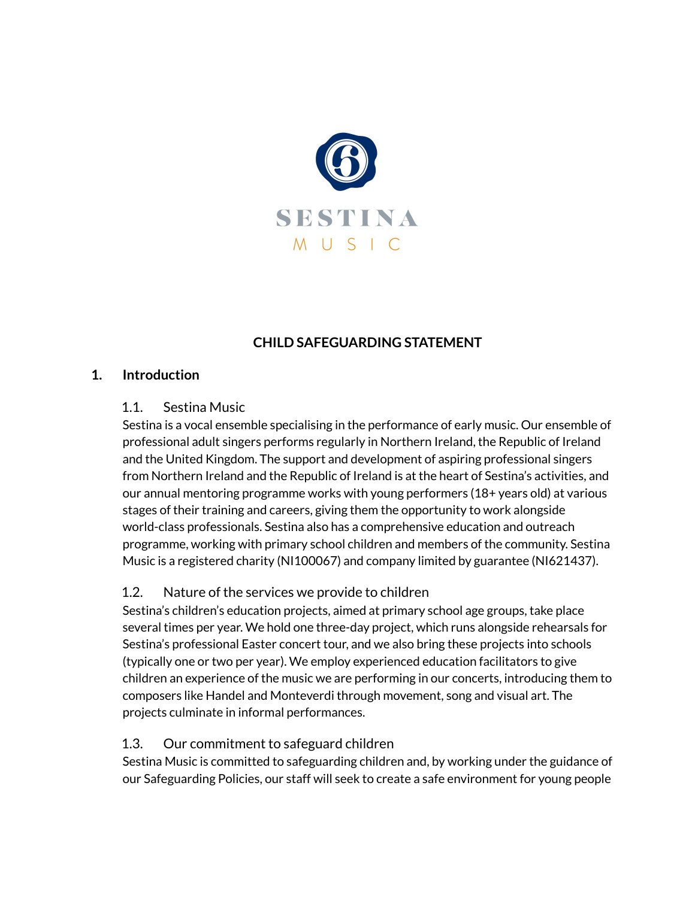

# **CHILD SAFEGUARDING STATEMENT**

#### **1. Introduction**

#### 1.1. Sestina Music

Sestina is a vocal ensemble specialising in the performance of early music. Our ensemble of professional adult singers performs regularly in Northern Ireland, the Republic of Ireland and the United Kingdom. The support and development of aspiring professional singers from Northern Ireland and the Republic of Ireland is at the heart of Sestina's activities, and our annual mentoring programme works with young performers (18+ years old) at various stages of their training and careers, giving them the opportunity to work alongside world-class professionals. Sestina also has a comprehensive education and outreach programme, working with primary school children and members of the community. Sestina Music is a registered charity (NI100067) and company limited by guarantee (NI621437).

## 1.2. Nature of the services we provide to children

Sestina's children's education projects, aimed at primary school age groups, take place several times per year. We hold one three-day project, which runs alongside rehearsals for Sestina's professional Easter concert tour, and we also bring these projects into schools (typically one or two per year). We employ experienced education facilitators to give children an experience of the music we are performing in our concerts, introducing them to composers like Handel and Monteverdi through movement, song and visual art. The projects culminate in informal performances.

## 1.3. Our commitment to safeguard children

Sestina Music is committed to safeguarding children and, by working under the guidance of our Safeguarding Policies, our staff will seek to create a safe environment for young people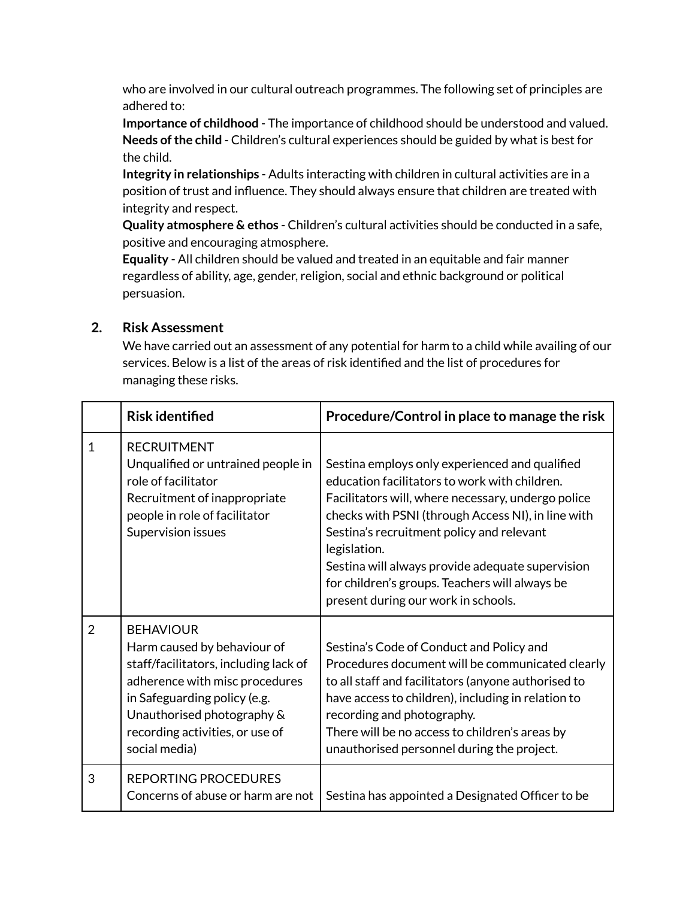who are involved in our cultural outreach programmes. The following set of principles are adhered to:

**Importance of childhood** - The importance of childhood should be understood and valued. Needs of the child - Children's cultural experiences should be guided by what is best for the child.

**Integrity in relationships** - Adults interacting with children in cultural activities are in a position of trust and influence. They should always ensure that children are treated with integrity and respect.

**Quality atmosphere & ethos** - Children's cultural activities should be conducted in a safe, positive and encouraging atmosphere.

**Equality** - All children should be valued and treated in an equitable and fair manner regardless of ability, age, gender, religion, social and ethnic background or political persuasion.

## **2. Risk Assessment**

We have carried out an assessment of any potential for harm to a child while availing of our services. Below is a list of the areas of risk identified and the list of procedures for managing these risks.

|                | <b>Risk identified</b>                                                                                                                                                                                                                       | Procedure/Control in place to manage the risk                                                                                                                                                                                                                                                                                                                                                                         |
|----------------|----------------------------------------------------------------------------------------------------------------------------------------------------------------------------------------------------------------------------------------------|-----------------------------------------------------------------------------------------------------------------------------------------------------------------------------------------------------------------------------------------------------------------------------------------------------------------------------------------------------------------------------------------------------------------------|
| $\mathbf{1}$   | <b>RECRUITMENT</b><br>Unqualified or untrained people in<br>role of facilitator<br>Recruitment of inappropriate<br>people in role of facilitator<br>Supervision issues                                                                       | Sestina employs only experienced and qualified<br>education facilitators to work with children.<br>Facilitators will, where necessary, undergo police<br>checks with PSNI (through Access NI), in line with<br>Sestina's recruitment policy and relevant<br>legislation.<br>Sestina will always provide adequate supervision<br>for children's groups. Teachers will always be<br>present during our work in schools. |
| $\overline{2}$ | <b>BEHAVIOUR</b><br>Harm caused by behaviour of<br>staff/facilitators, including lack of<br>adherence with misc procedures<br>in Safeguarding policy (e.g.<br>Unauthorised photography &<br>recording activities, or use of<br>social media) | Sestina's Code of Conduct and Policy and<br>Procedures document will be communicated clearly<br>to all staff and facilitators (anyone authorised to<br>have access to children), including in relation to<br>recording and photography.<br>There will be no access to children's areas by<br>unauthorised personnel during the project.                                                                               |
| 3              | <b>REPORTING PROCEDURES</b><br>Concerns of abuse or harm are not                                                                                                                                                                             | Sestina has appointed a Designated Officer to be                                                                                                                                                                                                                                                                                                                                                                      |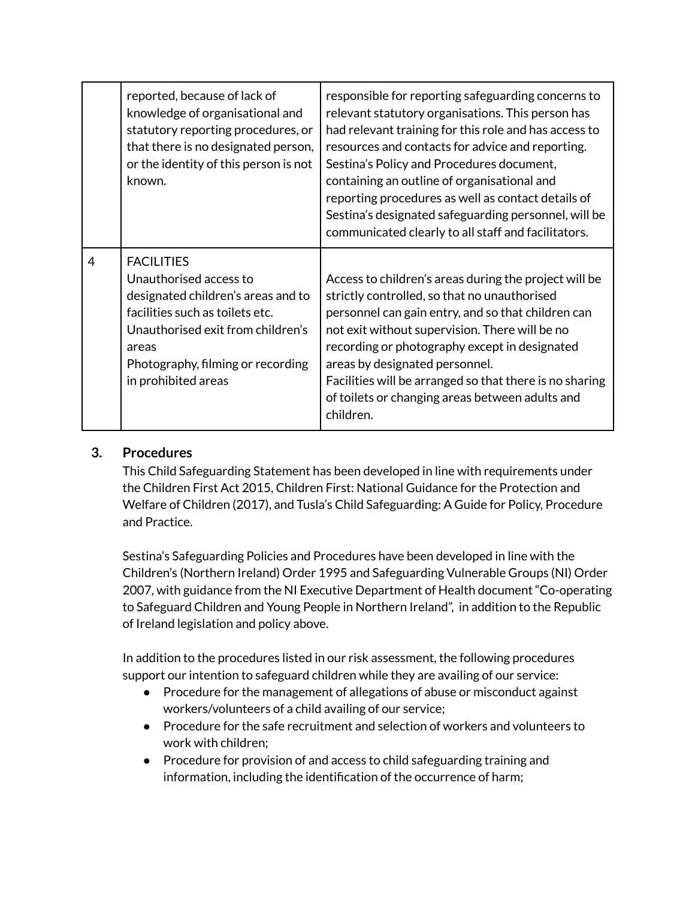|                | reported, because of lack of<br>knowledge of organisational and<br>statutory reporting procedures, or<br>that there is no designated person,<br>or the identity of this person is not<br>known.                                | responsible for reporting safeguarding concerns to<br>relevant statutory organisations. This person has<br>had relevant training for this role and has access to<br>resources and contacts for advice and reporting.<br>Sestina's Policy and Procedures document,<br>containing an outline of organisational and<br>reporting procedures as well as contact details of<br>Sestina's designated safeguarding personnel, will be<br>communicated clearly to all staff and facilitators. |
|----------------|--------------------------------------------------------------------------------------------------------------------------------------------------------------------------------------------------------------------------------|---------------------------------------------------------------------------------------------------------------------------------------------------------------------------------------------------------------------------------------------------------------------------------------------------------------------------------------------------------------------------------------------------------------------------------------------------------------------------------------|
| $\overline{4}$ | <b>FACILITIES</b><br>Unauthorised access to<br>designated children's areas and to<br>facilities such as toilets etc.<br>Unauthorised exit from children's<br>areas<br>Photography, filming or recording<br>in prohibited areas | Access to children's areas during the project will be<br>strictly controlled, so that no unauthorised<br>personnel can gain entry, and so that children can<br>not exit without supervision. There will be no<br>recording or photography except in designated<br>areas by designated personnel.<br>Facilities will be arranged so that there is no sharing<br>of toilets or changing areas between adults and<br>children.                                                           |

## **3. Procedures**

This Child Safeguarding Statement has been developed in line with requirements under the Children First Act 2015, Children First: National Guidance for the Protection and Welfare of Children (2017), and Tusla's Child Safeguarding: A Guide for Policy, Procedure and Practice.

Sestina's Safeguarding Policies and Procedures have been developed in line with the Children's (Northern Ireland) Order 1995 and Safeguarding Vulnerable Groups (NI) Order 2007, with guidance from the NI Executive Department of Health document "Co-operating to Safeguard Children and Young People in Northern Ireland", in addition to the Republic of Ireland legislation and policy above.

In addition to the procedures listed in our risk assessment, the following procedures support our intention to safeguard children while they are availing of our service:

- Procedure for the management of allegations of abuse or misconduct against workers/volunteers of a child availing of our service;
- Procedure for the safe recruitment and selection of workers and volunteers to work with children;
- Procedure for provision of and access to child safeguarding training and information, including the identification of the occurrence of harm;